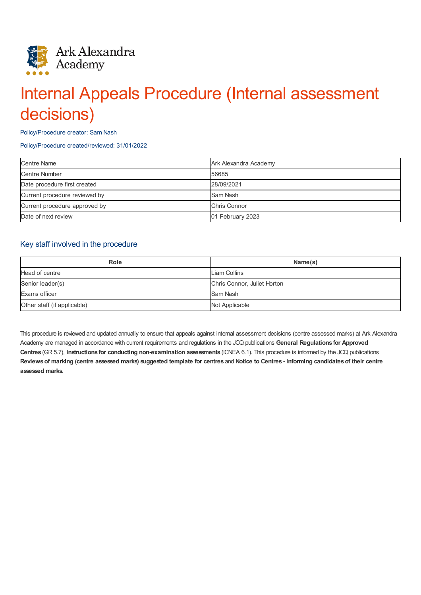

# Internal Appeals Procedure (Internal assessment decisions)

#### Policy/Procedure creator: Sam Nash

#### Policy/Procedure created/reviewed: 31/01/2022

| <b>Centre Name</b>            | Ark Alexandra Academy |
|-------------------------------|-----------------------|
| <b>Centre Number</b>          | 56685                 |
| Date procedure first created  | 28/09/2021            |
| Current procedure reviewed by | Sam Nash              |
| Current procedure approved by | Chris Connor          |
| Date of next review           | 01 February 2023      |

## Key staff involved in the procedure

| <b>Role</b>                 | Name(s)                     |
|-----------------------------|-----------------------------|
| Head of centre              | Liam Collins                |
| Senior leader(s)            | Chris Connor, Juliet Horton |
| Exams officer               | Sam Nash                    |
| Other staff (if applicable) | Not Applicable              |

This procedure is reviewed and updated annually to ensure that appeals against internal assessment decisions (centre assessed marks) at Ark Alexandra Academy are managed in accordance with current requirements and regulations in the JCQ publications **General Regulations for Approved Centres** (GR 5.7), **Instructions for conducting non-examination assessments** (ICNEA 6.1). This procedure is informed by the JCQ publications Reviews of marking (centre assessed marks) suggested template for centres and Notice to Centres - Informing candidates of their centre **assessed marks**.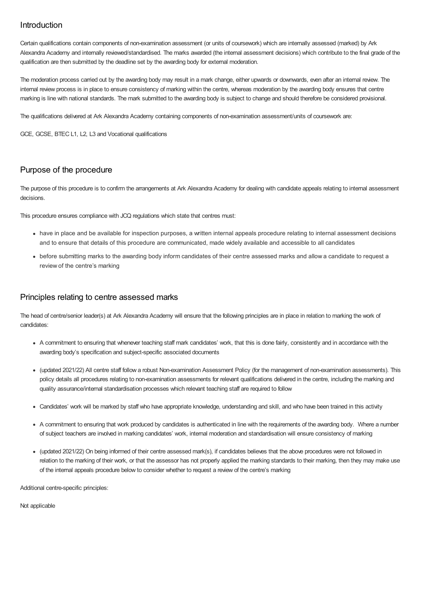# Introduction

Certain qualifications contain components of non-examination assessment (or units of coursework) which are internally assessed (marked) by Ark Alexandra Academy and internally reviewed/standardised. The marks awarded (the internal assessment decisions) which contribute to the final grade of the qualification are then submitted by the deadline set by the awarding body for external moderation.

The moderation process carried out by the awarding body may result in a mark change, either upwards or downwards, even after an internal review. The internal review process is in place to ensure consistency of marking within the centre, whereas moderation by the awarding body ensures that centre marking is line with national standards. The mark submitted to the awarding body is subject to change and should therefore be considered provisional.

The qualifications delivered at Ark Alexandra Academy containing components of non-examination assessment/units of coursework are:

GCE, GCSE, BTEC L1, L2, L3 and Vocational qualifications

# Purpose of the procedure

The purpose of this procedure is to confirm the arrangements at Ark Alexandra Academy for dealing with candidate appeals relating to internal assessment decisions.

This procedure ensures compliance with JCQ regulations which state that centres must:

- have in place and be available for inspection purposes, a written internal appeals procedure relating to internal assessment decisions and to ensure that details of this procedure are communicated, made widely available and accessible to all candidates
- before submitting marks to the awarding body inform candidates of their centre assessed marks and allow a candidate to request a review of the centre's marking

### Principles relating to centre assessed marks

The head of centre/senior leader(s) at Ark Alexandra Academy will ensure that the following principles are in place in relation to marking the work of candidates:

- A commitment to ensuring that whenever teaching staff mark candidates' work, that this is done fairly, consistently and in accordance with the awarding body's specification and subject-specific associated documents
- (updated 2021/22) All centre staff follow a robust Non-examination Assessment Policy (for the management of non-examination assessments). This policy details all procedures relating to non-examination assessments for relevant qualifications delivered in the centre, including the marking and quality assurance/internal standardisation processes which relevant teaching staff are required to follow
- Candidates' work will be marked by staff who have appropriate knowledge, understanding and skill, and who have been trained in this activity
- A commitment to ensuring that work produced by candidates is authenticated in line with the requirements of the awarding body. Where a number of subject teachers are involved in marking candidates' work, internal moderation and standardisation will ensure consistency of marking
- (updated 2021/22) On being informed of their centre assessed mark(s), if candidates believes that the above procedures were not followed in relation to the marking of their work, or that the assessor has not properly applied the marking standards to their marking, then they may make use of the internal appeals procedure below to consider whether to request a review of the centre's marking

Additional centre-specific principles:

Not applicable